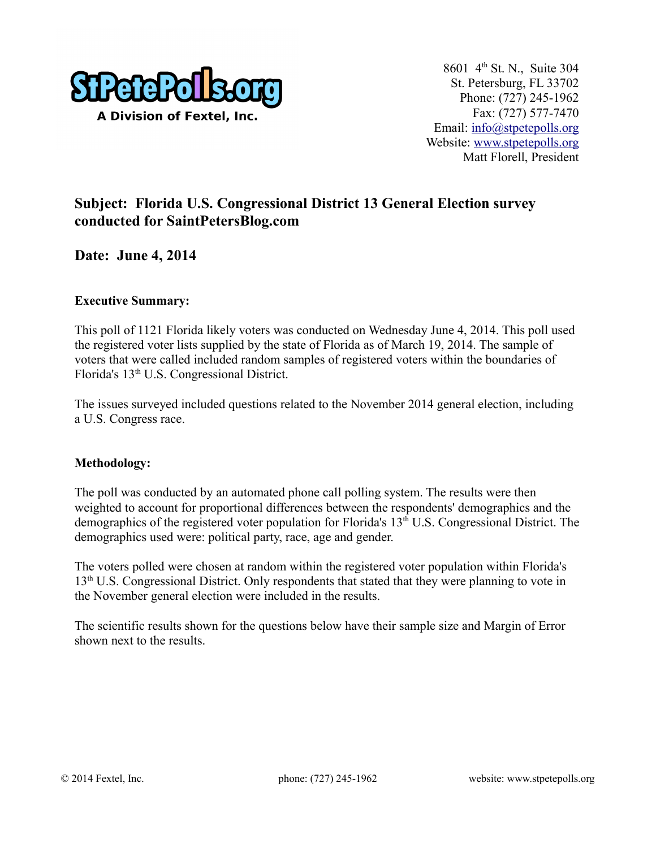

# **Subject: Florida U.S. Congressional District 13 General Election survey conducted for SaintPetersBlog.com**

**Date: June 4, 2014**

### **Executive Summary:**

This poll of 1121 Florida likely voters was conducted on Wednesday June 4, 2014. This poll used the registered voter lists supplied by the state of Florida as of March 19, 2014. The sample of voters that were called included random samples of registered voters within the boundaries of Florida's 13th U.S. Congressional District.

The issues surveyed included questions related to the November 2014 general election, including a U.S. Congress race.

### **Methodology:**

The poll was conducted by an automated phone call polling system. The results were then weighted to account for proportional differences between the respondents' demographics and the demographics of the registered voter population for Florida's 13<sup>th</sup> U.S. Congressional District. The demographics used were: political party, race, age and gender.

The voters polled were chosen at random within the registered voter population within Florida's 13<sup>th</sup> U.S. Congressional District. Only respondents that stated that they were planning to vote in the November general election were included in the results.

The scientific results shown for the questions below have their sample size and Margin of Error shown next to the results.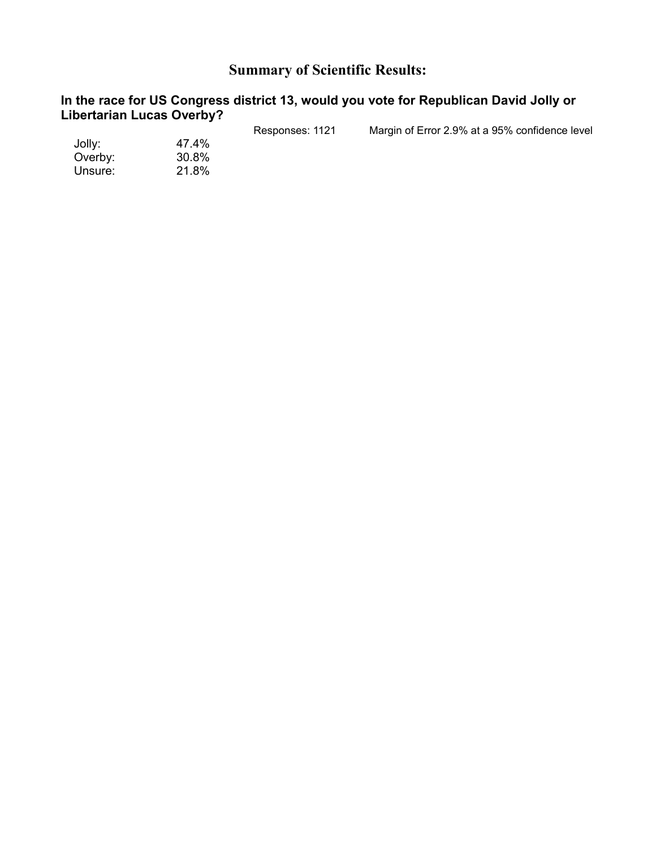# **Summary of Scientific Results:**

#### **In the race for US Congress district 13, would you vote for Republican David Jolly or Libertarian Lucas Overby?**

| Responses: 1121 | Margin of Error 2.9% at a 95% confidence level |
|-----------------|------------------------------------------------|
|                 |                                                |
|                 |                                                |
|                 |                                                |
|                 | 47.4%<br>30.8%<br>21.8%                        |